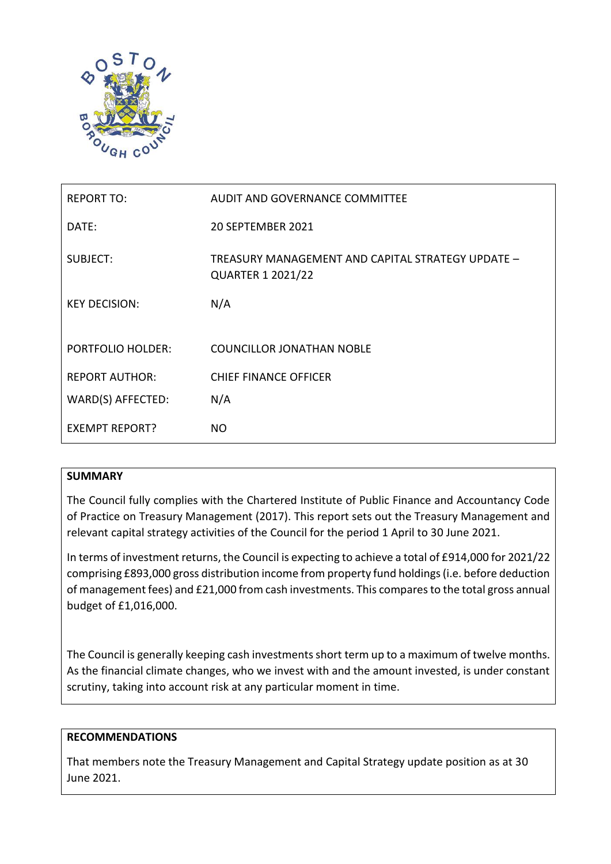

| <b>REPORT TO:</b>        | AUDIT AND GOVERNANCE COMMITTEE                                                |
|--------------------------|-------------------------------------------------------------------------------|
| DATE:                    | 20 SEPTEMBER 2021                                                             |
| SUBJECT:                 | TREASURY MANAGEMENT AND CAPITAL STRATEGY UPDATE -<br><b>QUARTER 1 2021/22</b> |
| <b>KEY DECISION:</b>     | N/A                                                                           |
|                          |                                                                               |
| <b>PORTFOLIO HOLDER:</b> | <b>COUNCILLOR JONATHAN NOBLE</b>                                              |
| <b>REPORT AUTHOR:</b>    | <b>CHIEF FINANCE OFFICER</b>                                                  |
| WARD(S) AFFECTED:        | N/A                                                                           |
| <b>EXEMPT REPORT?</b>    | NO.                                                                           |

# **SUMMARY**

The Council fully complies with the Chartered Institute of Public Finance and Accountancy Code of Practice on Treasury Management (2017). This report sets out the Treasury Management and relevant capital strategy activities of the Council for the period 1 April to 30 June 2021.

In terms of investment returns, the Council is expecting to achieve a total of £914,000 for 2021/22 comprising £893,000 gross distribution income from property fund holdings (i.e. before deduction of management fees) and £21,000 from cash investments. This compares to the total gross annual budget of £1,016,000.

The Council is generally keeping cash investments short term up to a maximum of twelve months. As the financial climate changes, who we invest with and the amount invested, is under constant scrutiny, taking into account risk at any particular moment in time.

# **RECOMMENDATIONS**

That members note the Treasury Management and Capital Strategy update position as at 30 June 2021.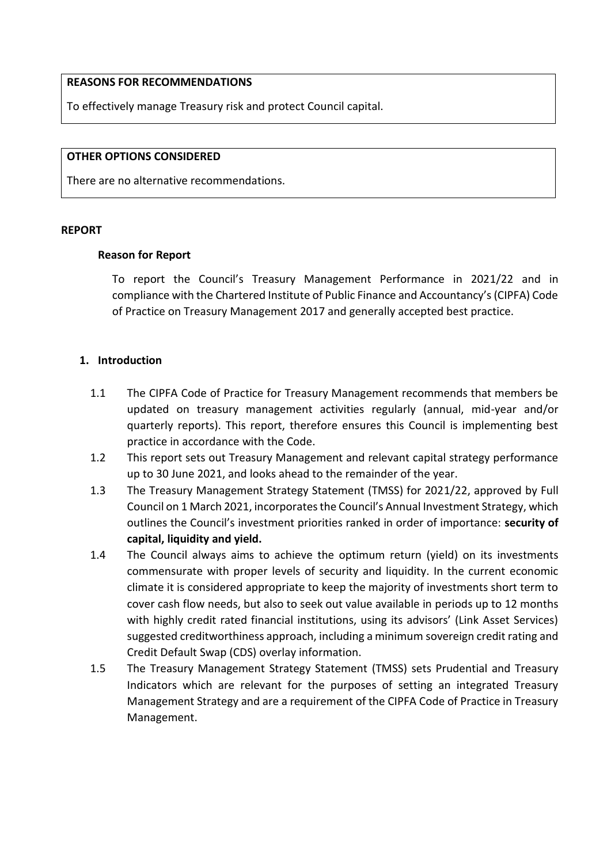#### **REASONS FOR RECOMMENDATIONS**

To effectively manage Treasury risk and protect Council capital.

#### **OTHER OPTIONS CONSIDERED**

There are no alternative recommendations.

#### **REPORT**

#### **Reason for Report**

To report the Council's Treasury Management Performance in 2021/22 and in compliance with the Chartered Institute of Public Finance and Accountancy's (CIPFA) Code of Practice on Treasury Management 2017 and generally accepted best practice.

### **1. Introduction**

- 1.1 The CIPFA Code of Practice for Treasury Management recommends that members be updated on treasury management activities regularly (annual, mid-year and/or quarterly reports). This report, therefore ensures this Council is implementing best practice in accordance with the Code.
- 1.2 This report sets out Treasury Management and relevant capital strategy performance up to 30 June 2021, and looks ahead to the remainder of the year.
- 1.3 The Treasury Management Strategy Statement (TMSS) for 2021/22, approved by Full Council on 1 March 2021, incorporates the Council's Annual Investment Strategy, which outlines the Council's investment priorities ranked in order of importance: **security of capital, liquidity and yield.**
- 1.4 The Council always aims to achieve the optimum return (yield) on its investments commensurate with proper levels of security and liquidity. In the current economic climate it is considered appropriate to keep the majority of investments short term to cover cash flow needs, but also to seek out value available in periods up to 12 months with highly credit rated financial institutions, using its advisors' (Link Asset Services) suggested creditworthiness approach, including a minimum sovereign credit rating and Credit Default Swap (CDS) overlay information.
- 1.5 The Treasury Management Strategy Statement (TMSS) sets Prudential and Treasury Indicators which are relevant for the purposes of setting an integrated Treasury Management Strategy and are a requirement of the CIPFA Code of Practice in Treasury Management.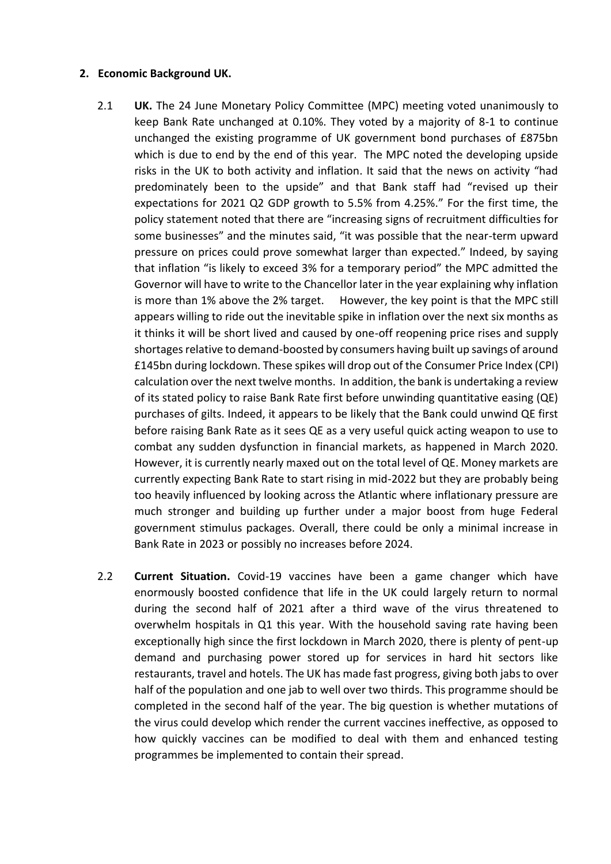### **2. Economic Background UK.**

- 2.1 **UK.** The 24 June Monetary Policy Committee (MPC) meeting voted unanimously to keep Bank Rate unchanged at 0.10%. They voted by a majority of 8-1 to continue unchanged the existing programme of UK government bond purchases of £875bn which is due to end by the end of this year. The MPC noted the developing upside risks in the UK to both activity and inflation. It said that the news on activity "had predominately been to the upside" and that Bank staff had "revised up their expectations for 2021 Q2 GDP growth to 5.5% from 4.25%." For the first time, the policy statement noted that there are "increasing signs of recruitment difficulties for some businesses" and the minutes said, "it was possible that the near-term upward pressure on prices could prove somewhat larger than expected." Indeed, by saying that inflation "is likely to exceed 3% for a temporary period" the MPC admitted the Governor will have to write to the Chancellor later in the year explaining why inflation is more than 1% above the 2% target. However, the key point is that the MPC still appears willing to ride out the inevitable spike in inflation over the next six months as it thinks it will be short lived and caused by one-off reopening price rises and supply shortages relative to demand-boosted by consumers having built up savings of around £145bn during lockdown. These spikes will drop out of the Consumer Price Index (CPI) calculation over the next twelve months. In addition, the bank is undertaking a review of its stated policy to raise Bank Rate first before unwinding quantitative easing (QE) purchases of gilts. Indeed, it appears to be likely that the Bank could unwind QE first before raising Bank Rate as it sees QE as a very useful quick acting weapon to use to combat any sudden dysfunction in financial markets, as happened in March 2020. However, it is currently nearly maxed out on the total level of QE. Money markets are currently expecting Bank Rate to start rising in mid-2022 but they are probably being too heavily influenced by looking across the Atlantic where inflationary pressure are much stronger and building up further under a major boost from huge Federal government stimulus packages. Overall, there could be only a minimal increase in Bank Rate in 2023 or possibly no increases before 2024.
- 2.2 **Current Situation.** Covid-19 vaccines have been a game changer which have enormously boosted confidence that life in the UK could largely return to normal during the second half of 2021 after a third wave of the virus threatened to overwhelm hospitals in Q1 this year. With the household saving rate having been exceptionally high since the first lockdown in March 2020, there is plenty of pent-up demand and purchasing power stored up for services in hard hit sectors like restaurants, travel and hotels. The UK has made fast progress, giving both jabs to over half of the population and one jab to well over two thirds. This programme should be completed in the second half of the year. The big question is whether mutations of the virus could develop which render the current vaccines ineffective, as opposed to how quickly vaccines can be modified to deal with them and enhanced testing programmes be implemented to contain their spread.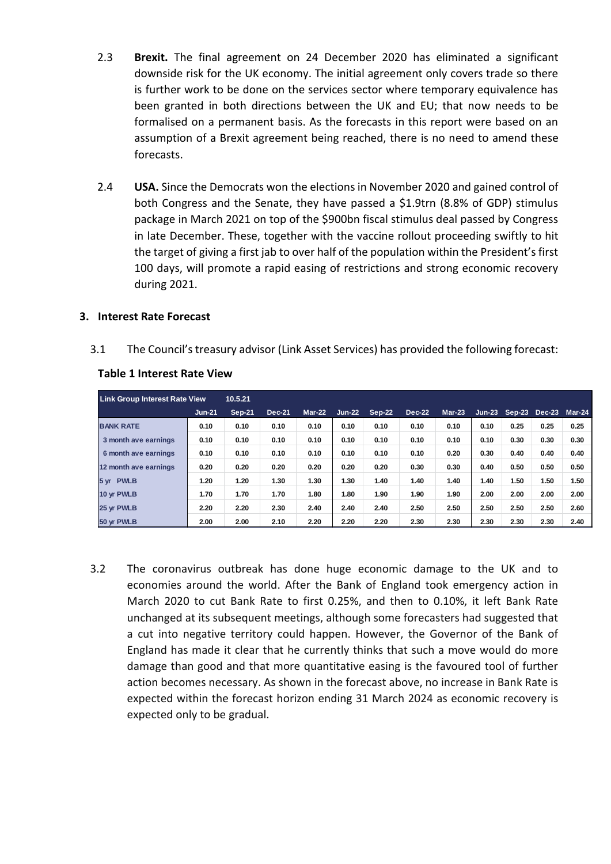- 2.3 **Brexit.** The final agreement on 24 December 2020 has eliminated a significant downside risk for the UK economy. The initial agreement only covers trade so there is further work to be done on the services sector where temporary equivalence has been granted in both directions between the UK and EU; that now needs to be formalised on a permanent basis. As the forecasts in this report were based on an assumption of a Brexit agreement being reached, there is no need to amend these forecasts.
- 2.4 **USA.** Since the Democrats won the elections in November 2020 and gained control of both Congress and the Senate, they have passed a \$1.9trn (8.8% of GDP) stimulus package in March 2021 on top of the \$900bn fiscal stimulus deal passed by Congress in late December. These, together with the vaccine rollout proceeding swiftly to hit the target of giving a first jab to over half of the population within the President's first 100 days, will promote a rapid easing of restrictions and strong economic recovery during 2021.

### **3. Interest Rate Forecast**

3.1 The Council's treasury advisor (Link Asset Services) has provided the following forecast:

| <b>Link Group Interest Rate View</b> |          | 10.5.21       |               |          |          |               |        |          |          |          |               |               |
|--------------------------------------|----------|---------------|---------------|----------|----------|---------------|--------|----------|----------|----------|---------------|---------------|
|                                      | $Jun-21$ | <b>Sep-21</b> | <b>Dec-21</b> | $Mar-22$ | $Jun-22$ | <b>Sep-22</b> | Dec-22 | $Mar-23$ | $Jun-23$ | $Sep-23$ | <b>Dec-23</b> | <b>Mar-24</b> |
| <b>BANK RATE</b>                     | 0.10     | 0.10          | 0.10          | 0.10     | 0.10     | 0.10          | 0.10   | 0.10     | 0.10     | 0.25     | 0.25          | 0.25          |
| 3 month ave earnings                 | 0.10     | 0.10          | 0.10          | 0.10     | 0.10     | 0.10          | 0.10   | 0.10     | 0.10     | 0.30     | 0.30          | 0.30          |
| 6 month ave earnings                 | 0.10     | 0.10          | 0.10          | 0.10     | 0.10     | 0.10          | 0.10   | 0.20     | 0.30     | 0.40     | 0.40          | 0.40          |
| 12 month ave earnings                | 0.20     | 0.20          | 0.20          | 0.20     | 0.20     | 0.20          | 0.30   | 0.30     | 0.40     | 0.50     | 0.50          | 0.50          |
| 5 yr PWLB                            | 1.20     | 1.20          | 1.30          | 1.30     | 1.30     | 1.40          | 1.40   | 1.40     | 1.40     | 1.50     | 1.50          | 1.50          |
| 10 yr PWLB                           | 1.70     | 1.70          | 1.70          | 1.80     | 1.80     | 1.90          | 1.90   | 1.90     | 2.00     | 2.00     | 2.00          | 2.00          |
| 25 yr PWLB                           | 2.20     | 2.20          | 2.30          | 2.40     | 2.40     | 2.40          | 2.50   | 2.50     | 2.50     | 2.50     | 2.50          | 2.60          |
| 50 yr PWLB                           | 2.00     | 2.00          | 2.10          | 2.20     | 2.20     | 2.20          | 2.30   | 2.30     | 2.30     | 2.30     | 2.30          | 2.40          |

### **Table 1 Interest Rate View**

3.2 The coronavirus outbreak has done huge economic damage to the UK and to economies around the world. After the Bank of England took emergency action in March 2020 to cut Bank Rate to first 0.25%, and then to 0.10%, it left Bank Rate unchanged at its subsequent meetings, although some forecasters had suggested that a cut into negative territory could happen. However, the Governor of the Bank of England has made it clear that he currently thinks that such a move would do more damage than good and that more quantitative easing is the favoured tool of further action becomes necessary. As shown in the forecast above, no increase in Bank Rate is expected within the forecast horizon ending 31 March 2024 as economic recovery is expected only to be gradual.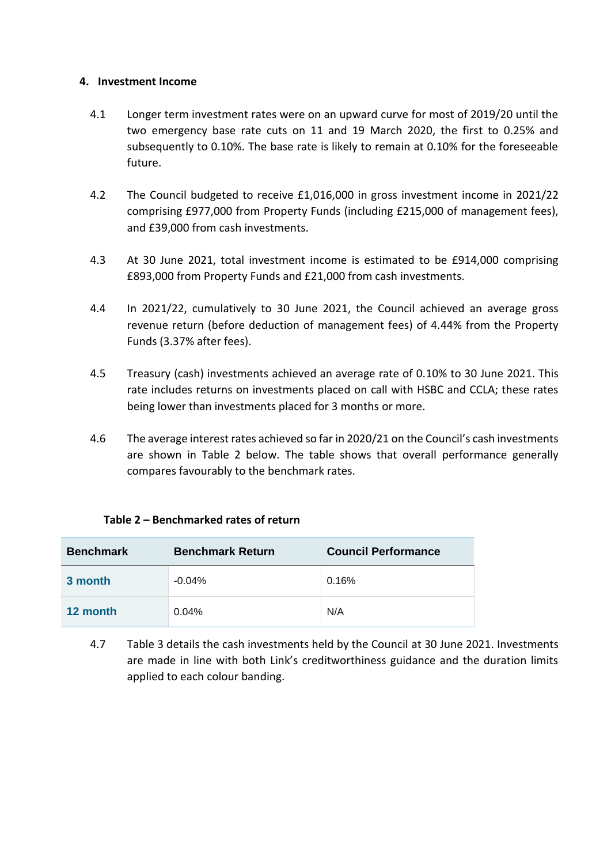### **4. Investment Income**

- 4.1 Longer term investment rates were on an upward curve for most of 2019/20 until the two emergency base rate cuts on 11 and 19 March 2020, the first to 0.25% and subsequently to 0.10%. The base rate is likely to remain at 0.10% for the foreseeable future.
- 4.2 The Council budgeted to receive £1,016,000 in gross investment income in 2021/22 comprising £977,000 from Property Funds (including £215,000 of management fees), and £39,000 from cash investments.
- 4.3 At 30 June 2021, total investment income is estimated to be £914,000 comprising £893,000 from Property Funds and £21,000 from cash investments.
- 4.4 In 2021/22, cumulatively to 30 June 2021, the Council achieved an average gross revenue return (before deduction of management fees) of 4.44% from the Property Funds (3.37% after fees).
- 4.5 Treasury (cash) investments achieved an average rate of 0.10% to 30 June 2021. This rate includes returns on investments placed on call with HSBC and CCLA; these rates being lower than investments placed for 3 months or more.
- 4.6 The average interest rates achieved so far in 2020/21 on the Council's cash investments are shown in Table 2 below. The table shows that overall performance generally compares favourably to the benchmark rates.

|  |  | Table 2 - Benchmarked rates of return |
|--|--|---------------------------------------|
|--|--|---------------------------------------|

| <b>Benchmark Return</b><br><b>Benchmark</b> |          | <b>Council Performance</b> |  |  |
|---------------------------------------------|----------|----------------------------|--|--|
| 3 month                                     | $-0.04%$ | 0.16%                      |  |  |
| 12 month                                    | 0.04%    | N/A                        |  |  |

4.7 Table 3 details the cash investments held by the Council at 30 June 2021. Investments are made in line with both Link's creditworthiness guidance and the duration limits applied to each colour banding.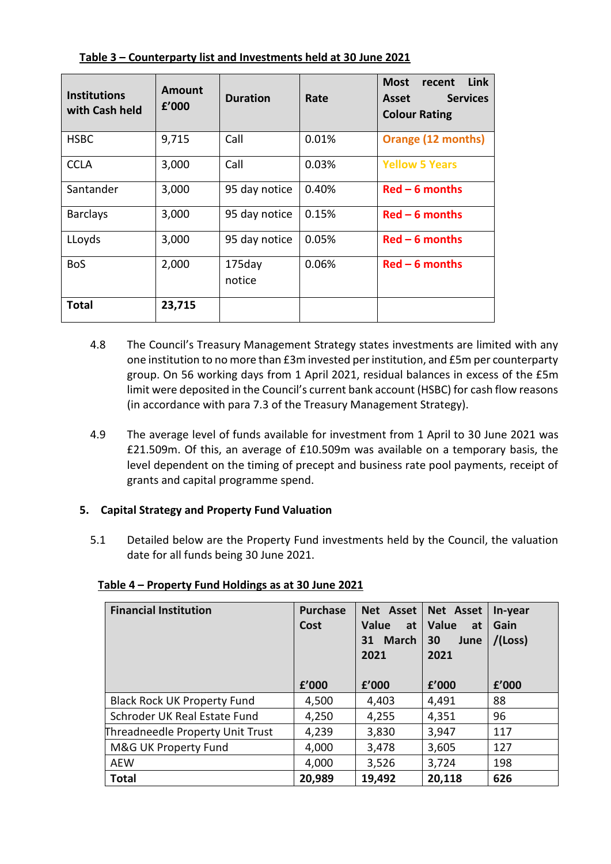| <b>Institutions</b><br>with Cash held | Amount<br>f'000 | <b>Duration</b>     | Rate  | Link<br><b>Most</b><br>recent<br><b>Services</b><br><b>Asset</b><br><b>Colour Rating</b> |
|---------------------------------------|-----------------|---------------------|-------|------------------------------------------------------------------------------------------|
| <b>HSBC</b>                           | 9,715           | Call                | 0.01% | Orange (12 months)                                                                       |
| <b>CCLA</b>                           | 3,000           | Call                | 0.03% | <b>Yellow 5 Years</b>                                                                    |
| Santander                             | 3,000           | 95 day notice       | 0.40% | $Red - 6$ months                                                                         |
| <b>Barclays</b>                       | 3,000           | 95 day notice       | 0.15% | $Red - 6$ months                                                                         |
| LLoyds                                | 3,000           | 95 day notice       | 0.05% | $Red - 6$ months                                                                         |
| <b>BoS</b>                            | 2,000           | $175$ day<br>notice | 0.06% | $Red - 6$ months                                                                         |
| Total                                 | 23,715          |                     |       |                                                                                          |

**Table 3 – Counterparty list and Investments held at 30 June 2021**

- 4.8 The Council's Treasury Management Strategy states investments are limited with any one institution to no more than £3m invested per institution, and £5m per counterparty group. On 56 working days from 1 April 2021, residual balances in excess of the £5m limit were deposited in the Council's current bank account (HSBC) for cash flow reasons (in accordance with para 7.3 of the Treasury Management Strategy).
- 4.9 The average level of funds available for investment from 1 April to 30 June 2021 was £21.509m. Of this, an average of £10.509m was available on a temporary basis, the level dependent on the timing of precept and business rate pool payments, receipt of grants and capital programme spend.

# **5. Capital Strategy and Property Fund Valuation**

5.1 Detailed below are the Property Fund investments held by the Council, the valuation date for all funds being 30 June 2021.

| <b>Financial Institution</b>       | <b>Purchase</b><br>Cost<br>f'000 | Net Asset<br>Value<br>at<br><b>March</b><br>31<br>2021<br>f'000 | Net Asset<br><b>Value</b><br>at<br>30<br>June<br>2021<br>£'000 | In-year<br>Gain<br>$/$ (Loss)<br>f'000 |
|------------------------------------|----------------------------------|-----------------------------------------------------------------|----------------------------------------------------------------|----------------------------------------|
| <b>Black Rock UK Property Fund</b> | 4,500                            | 4,403                                                           | 4,491                                                          | 88                                     |
| Schroder UK Real Estate Fund       | 4,250                            | 4,255                                                           | 4,351                                                          | 96                                     |
| Threadneedle Property Unit Trust   | 4,239                            | 3,830                                                           | 3,947                                                          | 117                                    |
| M&G UK Property Fund               | 4,000                            | 3,478                                                           | 3,605                                                          | 127                                    |
| <b>AEW</b>                         | 4,000                            | 3,526                                                           | 3,724                                                          | 198                                    |
| <b>Total</b>                       | 20,989                           | 19,492                                                          | 20,118                                                         | 626                                    |

# **Table 4 – Property Fund Holdings as at 30 June 2021**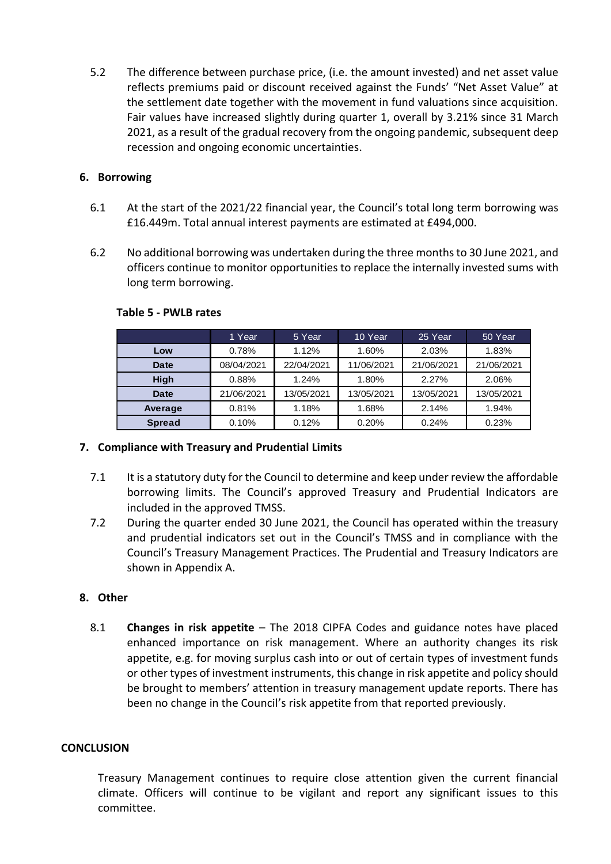5.2 The difference between purchase price, (i.e. the amount invested) and net asset value reflects premiums paid or discount received against the Funds' "Net Asset Value" at the settlement date together with the movement in fund valuations since acquisition. Fair values have increased slightly during quarter 1, overall by 3.21% since 31 March 2021, as a result of the gradual recovery from the ongoing pandemic, subsequent deep recession and ongoing economic uncertainties.

# **6. Borrowing**

- 6.1 At the start of the 2021/22 financial year, the Council's total long term borrowing was £16.449m. Total annual interest payments are estimated at £494,000.
- 6.2 No additional borrowing was undertaken during the three months to 30 June 2021, and officers continue to monitor opportunities to replace the internally invested sums with long term borrowing.

|               | 1 Year     | 5 Year     | 10 Year    | 25 Year    | 50 Year    |
|---------------|------------|------------|------------|------------|------------|
| Low           | 0.78%      | 1.12%      | 1.60%      | 2.03%      | 1.83%      |
| <b>Date</b>   | 08/04/2021 | 22/04/2021 | 11/06/2021 | 21/06/2021 | 21/06/2021 |
| <b>High</b>   | 0.88%      | 1.24%      | 1.80%      | 2.27%      | 2.06%      |
| Date          | 21/06/2021 | 13/05/2021 | 13/05/2021 | 13/05/2021 | 13/05/2021 |
| Average       | 0.81%      | 1.18%      | 1.68%      | 2.14%      | 1.94%      |
| <b>Spread</b> | 0.10%      | 0.12%      | 0.20%      | 0.24%      | 0.23%      |

### **Table 5 - PWLB rates**

# **7. Compliance with Treasury and Prudential Limits**

- 7.1 It is a statutory duty for the Council to determine and keep under review the affordable borrowing limits. The Council's approved Treasury and Prudential Indicators are included in the approved TMSS.
- 7.2 During the quarter ended 30 June 2021, the Council has operated within the treasury and prudential indicators set out in the Council's TMSS and in compliance with the Council's Treasury Management Practices. The Prudential and Treasury Indicators are shown in Appendix A.

# **8. Other**

8.1 **Changes in risk appetite** – The 2018 CIPFA Codes and guidance notes have placed enhanced importance on risk management. Where an authority changes its risk appetite, e.g. for moving surplus cash into or out of certain types of investment funds or other types of investment instruments, this change in risk appetite and policy should be brought to members' attention in treasury management update reports. There has been no change in the Council's risk appetite from that reported previously.

### **CONCLUSION**

Treasury Management continues to require close attention given the current financial climate. Officers will continue to be vigilant and report any significant issues to this committee.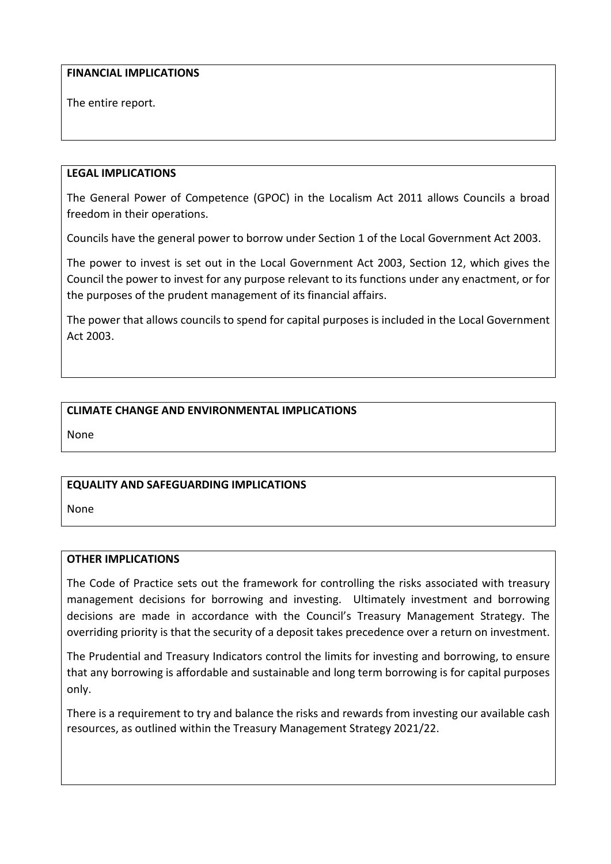### **FINANCIAL IMPLICATIONS**

The entire report*.*

### **LEGAL IMPLICATIONS**

The General Power of Competence (GPOC) in the Localism Act 2011 allows Councils a broad freedom in their operations.

Councils have the general power to borrow under Section 1 of the Local Government Act 2003.

The power to invest is set out in the Local Government Act 2003, Section 12, which gives the Council the power to invest for any purpose relevant to its functions under any enactment, or for the purposes of the prudent management of its financial affairs.

The power that allows councils to spend for capital purposes is included in the Local Government Act 2003.

# **CLIMATE CHANGE AND ENVIRONMENTAL IMPLICATIONS**

None

# **EQUALITY AND SAFEGUARDING IMPLICATIONS**

None

### **OTHER IMPLICATIONS**

The Code of Practice sets out the framework for controlling the risks associated with treasury management decisions for borrowing and investing. Ultimately investment and borrowing decisions are made in accordance with the Council's Treasury Management Strategy. The overriding priority is that the security of a deposit takes precedence over a return on investment.

The Prudential and Treasury Indicators control the limits for investing and borrowing, to ensure that any borrowing is affordable and sustainable and long term borrowing is for capital purposes only.

There is a requirement to try and balance the risks and rewards from investing our available cash resources, as outlined within the Treasury Management Strategy 2021/22.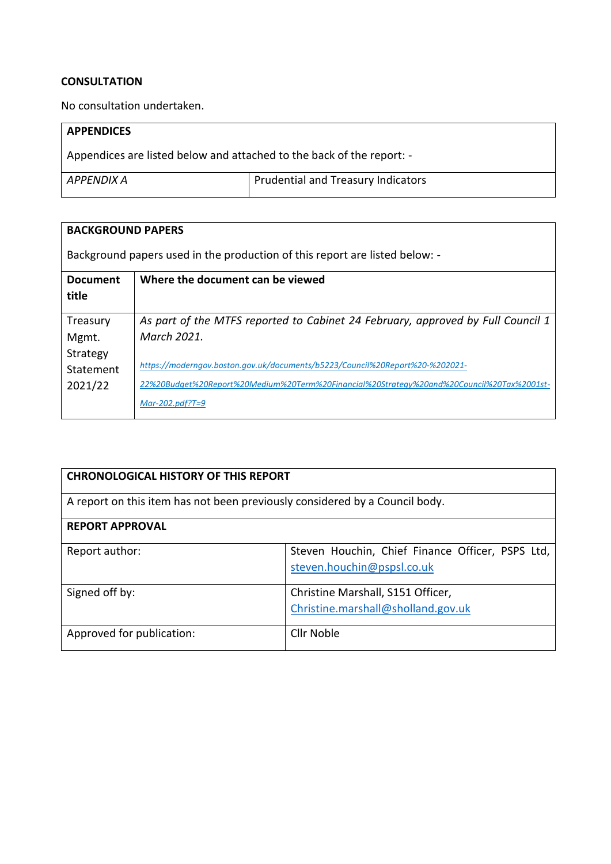#### **CONSULTATION**

No consultation undertaken.

| <b>APPENDICES</b>                                                     |                                    |  |  |  |
|-----------------------------------------------------------------------|------------------------------------|--|--|--|
| Appendices are listed below and attached to the back of the report: - |                                    |  |  |  |
| APPENDIX A                                                            | Prudential and Treasury Indicators |  |  |  |

| <b>BACKGROUND PAPERS</b> |                                                                                           |  |  |  |  |
|--------------------------|-------------------------------------------------------------------------------------------|--|--|--|--|
|                          | Background papers used in the production of this report are listed below: -               |  |  |  |  |
| <b>Document</b><br>title | Where the document can be viewed                                                          |  |  |  |  |
|                          |                                                                                           |  |  |  |  |
| Treasury                 | As part of the MTFS reported to Cabinet 24 February, approved by Full Council 1           |  |  |  |  |
| Mgmt.                    | March 2021.                                                                               |  |  |  |  |
| Strategy                 |                                                                                           |  |  |  |  |
| Statement                | https://moderngov.boston.gov.uk/documents/b5223/Council%20Report%20-%202021-              |  |  |  |  |
| 2021/22                  | -22%20Budget%20Report%20Medium%20Term%20Financial%20Strategy%20and%20Council%20Tax%2001st |  |  |  |  |
|                          | $Mar-202.pdf?T=9$                                                                         |  |  |  |  |

| <b>CHRONOLOGICAL HISTORY OF THIS REPORT</b>                                 |                                                                                |  |  |
|-----------------------------------------------------------------------------|--------------------------------------------------------------------------------|--|--|
| A report on this item has not been previously considered by a Council body. |                                                                                |  |  |
| <b>REPORT APPROVAL</b>                                                      |                                                                                |  |  |
| Report author:                                                              | Steven Houchin, Chief Finance Officer, PSPS Ltd,<br>steven.houchin@pspsl.co.uk |  |  |
| Signed off by:                                                              | Christine Marshall, S151 Officer,<br>Christine.marshall@sholland.gov.uk        |  |  |
| Approved for publication:                                                   | Cllr Noble                                                                     |  |  |